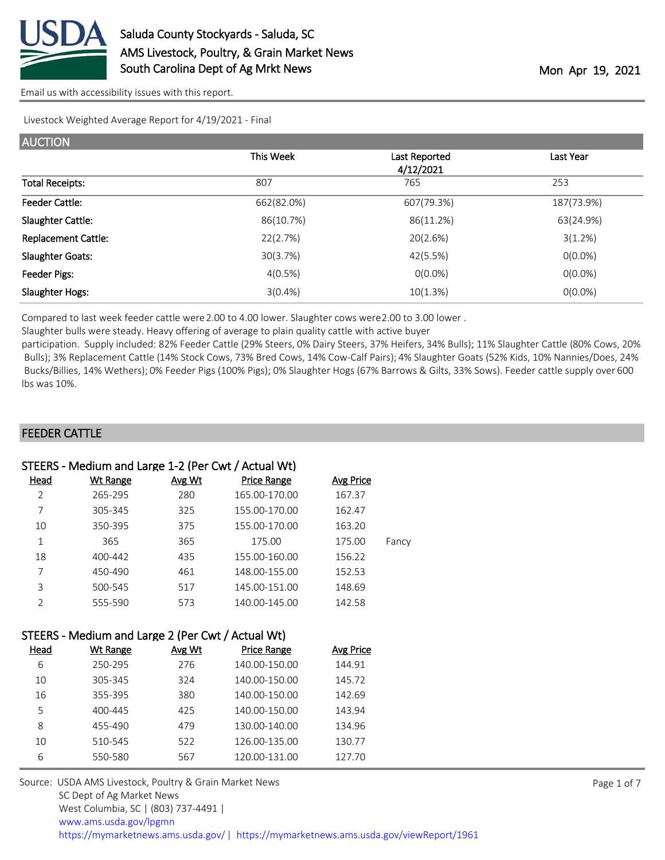

Livestock Weighted Average Report for 4/19/2021 - Final

| <b>AUCTION</b>             |            |                            |            |
|----------------------------|------------|----------------------------|------------|
|                            | This Week  | Last Reported<br>4/12/2021 | Last Year  |
| <b>Total Receipts:</b>     | 807        | 765                        | 253        |
| <b>Feeder Cattle:</b>      | 662(82.0%) | 607(79.3%)                 | 187(73.9%) |
| Slaughter Cattle:          | 86(10.7%)  | 86(11.2%)                  | 63(24.9%)  |
| <b>Replacement Cattle:</b> | 22(2.7%)   | 20(2.6%)                   | 3(1.2%)    |
| <b>Slaughter Goats:</b>    | 30(3.7%)   | 42(5.5%)                   | $0(0.0\%)$ |
| Feeder Pigs:               | 4(0.5%)    | $0(0.0\%)$                 | $0(0.0\%)$ |
| Slaughter Hogs:            | $3(0.4\%)$ | 10(1.3%)                   | $O(0.0\%)$ |

Compared to last week feeder cattle were 2.00 to 4.00 lower. Slaughter cows were 2.00 to 3.00 lower .

Slaughter bulls were steady. Heavy offering of average to plain quality cattle with active buyer

participation. Supply included: 82% Feeder Cattle (29% Steers, 0% Dairy Steers, 37% Heifers, 34% Bulls); 11% Slaughter Cattle (80% Cows, 20% Bulls); 3% Replacement Cattle (14% Stock Cows, 73% Bred Cows, 14% Cow-Calf Pairs); 4% Slaughter Goats (52% Kids, 10% Nannies/Does, 24% Bucks/Billies, 14% Wethers); 0% Feeder Pigs (100% Pigs); 0% Slaughter Hogs (67% Barrows & Gilts, 33% Sows). Feeder cattle supply over 600 lbs was 10%.

#### FEEDER CATTLE

| STEERS - Medium and Large 1-2 (Per Cwt / Actual Wt) |                 |        |                    |           |       |
|-----------------------------------------------------|-----------------|--------|--------------------|-----------|-------|
| Head                                                | <b>Wt Range</b> | Avg Wt | <b>Price Range</b> | Avg Price |       |
| $\overline{2}$                                      | 265-295         | 280    | 165.00-170.00      | 167.37    |       |
| 7                                                   | 305-345         | 325    | 155.00-170.00      | 162.47    |       |
| 10                                                  | 350-395         | 375    | 155.00-170.00      | 163.20    |       |
| 1                                                   | 365             | 365    | 175.00             | 175.00    | Fancy |
| 18                                                  | 400-442         | 435    | 155.00-160.00      | 156.22    |       |
|                                                     | 450-490         | 461    | 148.00-155.00      | 152.53    |       |
| 3                                                   | 500-545         | 517    | 145.00-151.00      | 148.69    |       |
|                                                     | 555-590         | 573    | 140.00-145.00      | 142.58    |       |

|      | STEERS - Medium and Large 2 (Per Cwt / Actual Wt) |        |             |
|------|---------------------------------------------------|--------|-------------|
| Head | Wt Range                                          | Avg Wt | Price Range |

| <b>Wt Range</b> | Avg Wt | <b>Price Range</b> | Avg Price |
|-----------------|--------|--------------------|-----------|
| 250-295         | 276    | 140.00-150.00      | 144.91    |
| 305-345         | 324    | 140.00-150.00      | 145.72    |
| 355-395         | 380    | 140.00-150.00      | 142.69    |
| 400-445         | 425    | 140.00-150.00      | 143.94    |
| 455-490         | 479    | 130.00-140.00      | 134.96    |
| 510-545         | 522    | 126.00-135.00      | 130.77    |
| 550-580         | 567    | 120.00-131.00      | 127.70    |
|                 |        |                    |           |

Source: USDA AMS Livestock, Poultry & Grain Market News SC Dept of Ag Market News West Columbia, SC | (803) 737-4491 | [www.ams.usda.gov/lpgmn](https://www.ams.usda.gov/market-news) <https://mymarketnews.ams.usda.gov/> [|](https://www.ams.usda.gov/market-news) <https://mymarketnews.ams.usda.gov/viewReport/1961>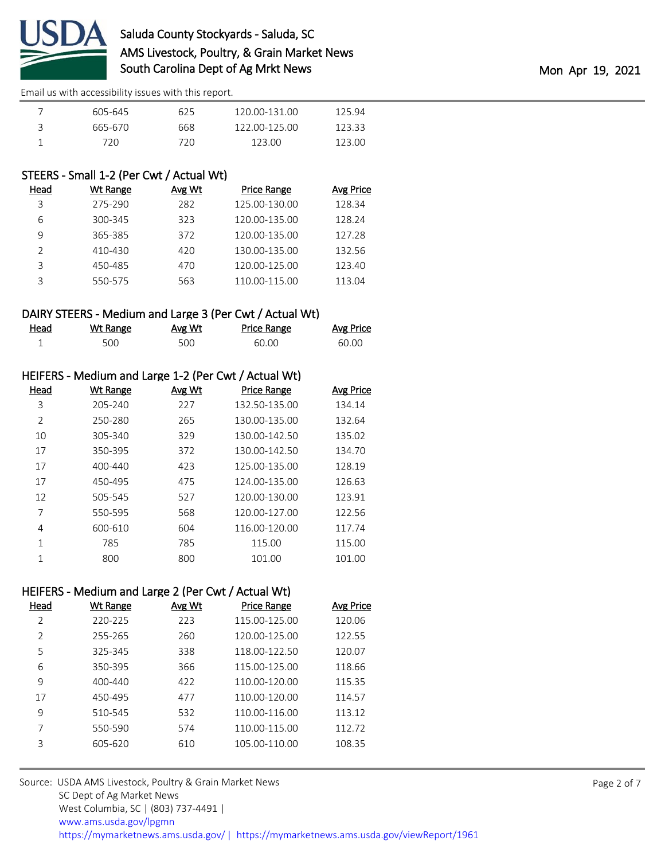

|   | 605-645 | 625  | 120.00-131.00 | 125.94 |
|---|---------|------|---------------|--------|
| ੨ | 665-670 | 668  | 122 00-125 00 | 123.33 |
|   | 720.    | 72 N | 123.OO        | 123.00 |

# STEERS - Small 1-2 (Per Cwt / Actual Wt)

| Head          | Wt Range | Avg Wt | <b>Price Range</b> | Avg Price |
|---------------|----------|--------|--------------------|-----------|
| 3             | 275-290  | 282    | 125.00-130.00      | 128.34    |
| 6             | 300-345  | 323    | 120.00-135.00      | 128.24    |
| 9             | 365-385  | 372    | 120.00-135.00      | 127.28    |
| $\mathcal{P}$ | 410-430  | 420    | 130.00-135.00      | 132.56    |
| ζ             | 450-485  | 470    | 120.00-125.00      | 123.40    |
|               | 550-575  | 563    | 110.00-115.00      | 113.04    |

#### DAIRY STEERS - Medium and Large 3 (Per Cwt / Actual Wt)

| <u>Head</u> | <u>Wt Range</u> | <u>Avg Wt</u> | Price Range | <b>Avg Price</b> |
|-------------|-----------------|---------------|-------------|------------------|
|             | 500             | 500           | 60.00       | 60.00            |

### HEIFERS - Medium and Large 1-2 (Per Cwt / Actual Wt)

| Head           | Wt Range    | Avg Wt | <b>Price Range</b> | <b>Avg Price</b> |
|----------------|-------------|--------|--------------------|------------------|
| 3              | 205-240     | 227    | 132.50-135.00      | 134.14           |
| $\overline{2}$ | 250-280     | 265    | 130.00-135.00      | 132.64           |
| 10             | 305-340     | 329    | 130.00-142.50      | 135.02           |
| 17             | 350-395     | 372    | 130.00-142.50      | 134.70           |
| 17             | $400 - 440$ | 423    | 125.00-135.00      | 128.19           |
| 17             | 450-495     | 475    | 124.00-135.00      | 126.63           |
| 12             | 505-545     | 527    | 120.00-130.00      | 123.91           |
| 7              | 550-595     | 568    | 120.00-127.00      | 122.56           |
| 4              | 600-610     | 604    | 116.00-120.00      | 117.74           |
| 1              | 785         | 785    | 115.00             | 115.00           |
| 1              | 800         | 800    | 101.00             | 101.00           |

# HEIFERS - Medium and Large 2 (Per Cwt / Actual Wt)

| <b>Wt Range</b> | Avg Wt | Price Range   | Avg Price |
|-----------------|--------|---------------|-----------|
| 220-225         | 223    | 115.00-125.00 | 120.06    |
| 255-265         | 260    | 120.00-125.00 | 122.55    |
| 325-345         | 338    | 118.00-122.50 | 120.07    |
| 350-395         | 366    | 115.00-125.00 | 118.66    |
| $400 - 440$     | 422    | 110.00-120.00 | 115.35    |
| 450-495         | 477    | 110.00-120.00 | 114.57    |
| 510-545         | 532    | 110.00-116.00 | 113.12    |
| 550-590         | 574    | 110.00-115.00 | 112.72    |
| 605-620         | 610    | 105.00-110.00 | 108.35    |
|                 |        |               |           |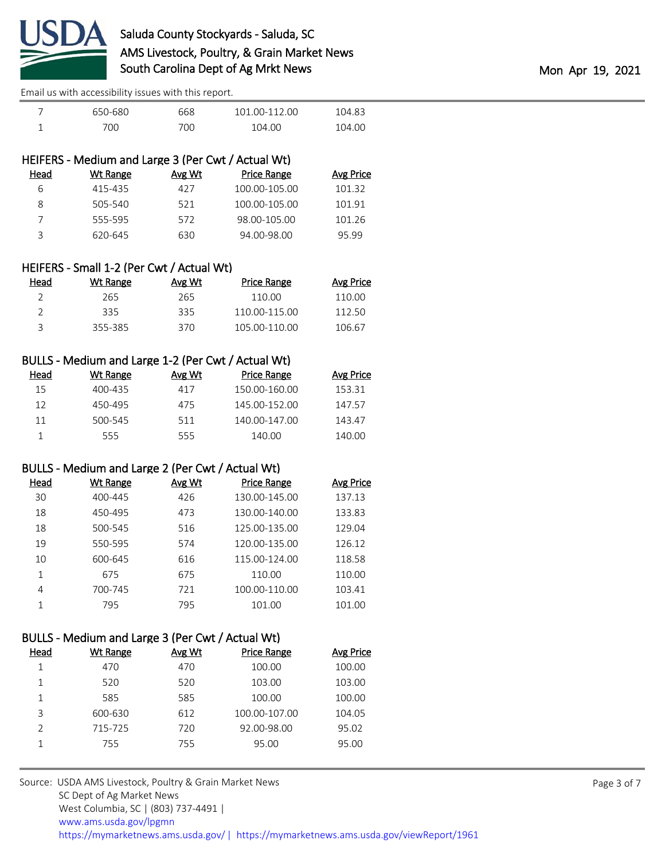

| 650-680 | 668 | 101 00-112 00 | 104.83 |
|---------|-----|---------------|--------|
| 700     | 700 | 104.00        | 104.00 |

| HEIFERS - Medium and Large 3 (Per Cwt / Actual Wt) |        |                    |           |  |
|----------------------------------------------------|--------|--------------------|-----------|--|
| Wt Range                                           | Avg Wt | <b>Price Range</b> | Avg Price |  |
| 415-435                                            | 427    | 100.00-105.00      | 101.32    |  |
| 505-540                                            | 521    | 100.00-105.00      | 101.91    |  |
| 555-595                                            | 572    | 98.00-105.00       | 101.26    |  |
| 620-645                                            | 630    | 94.00-98.00        | 95.99     |  |
|                                                    |        |                    |           |  |

| HEIFERS - Small 1-2 (Per Cwt / Actual Wt) |          |        |                    |           |  |
|-------------------------------------------|----------|--------|--------------------|-----------|--|
| Head                                      | Wt Range | Avg Wt | <b>Price Range</b> | Avg Price |  |
| 2                                         | 265      | 265    | 110.00             | 110.00    |  |
| ⊇                                         | 335      | 335    | 110.00-115.00      | 112.50    |  |
| ₹                                         | 355-385  | 370    | 105.00-110.00      | 106.67    |  |

| BULLS - Medium and Large 1-2 (Per Cwt / Actual Wt) |          |        |                    |           |  |  |
|----------------------------------------------------|----------|--------|--------------------|-----------|--|--|
| Head                                               | Wt Range | Avg Wt | <b>Price Range</b> | Avg Price |  |  |
| 15                                                 | 400-435  | 417    | 150.00-160.00      | 153.31    |  |  |
| 12                                                 | 450-495  | 475    | 145.00-152.00      | 147.57    |  |  |
| 11                                                 | 500-545  | 511    | 140.00-147.00      | 143.47    |  |  |
|                                                    | 555      | 555    | 140.00             | 140.00    |  |  |

### BULLS - Medium and Large 2 (Per Cwt / Actual Wt)

| Head | Wt Range | Avg Wt | <b>Price Range</b> | <b>Avg Price</b> |
|------|----------|--------|--------------------|------------------|
| 30   | 400-445  | 426    | 130.00-145.00      | 137.13           |
| 18   | 450-495  | 473    | 130.00-140.00      | 133.83           |
| 18   | 500-545  | 516    | 125.00-135.00      | 129.04           |
| 19   | 550-595  | 574    | 120.00-135.00      | 126.12           |
| 10   | 600-645  | 616    | 115.00-124.00      | 118.58           |
| 1    | 675      | 675    | 110.00             | 110.00           |
| 4    | 700-745  | 721    | 100.00-110.00      | 103.41           |
|      | 795      | 795    | 101.00             | 101.00           |

### BULLS - Medium and Large 3 (Per Cwt / Actual Wt)

| Head          | Wt Range | Avg Wt | <b>Price Range</b> | Avg Price |
|---------------|----------|--------|--------------------|-----------|
|               | 470      | 470    | 100.00             | 100.00    |
|               | 520      | 520    | 103.00             | 103.00    |
|               | 585      | 585    | 100.00             | 100.00    |
| 3             | 600-630  | 612    | 100.00-107.00      | 104.05    |
| $\mathcal{P}$ | 715-725  | 720    | 92.00-98.00        | 95.02     |
|               | 755      | 755    | 95.00              | 95.00     |
|               |          |        |                    |           |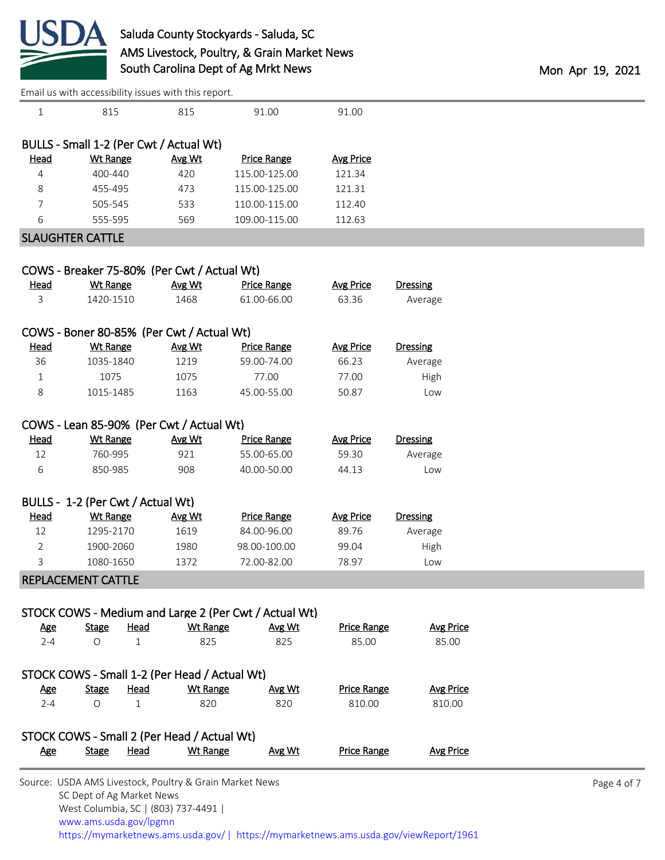

|                                               |                                   |                             | Effiall us with accessibility issues with this report. |                                                       |                           |                            |  |
|-----------------------------------------------|-----------------------------------|-----------------------------|--------------------------------------------------------|-------------------------------------------------------|---------------------------|----------------------------|--|
| $\mathbf{1}$                                  | 815                               |                             | 815                                                    | 91.00                                                 | 91.00                     |                            |  |
| BULLS - Small 1-2 (Per Cwt / Actual Wt)       |                                   |                             |                                                        |                                                       |                           |                            |  |
| <b>Head</b>                                   | <b>Wt Range</b>                   |                             | Avg Wt                                                 | <b>Price Range</b>                                    | <b>Avg Price</b>          |                            |  |
| 4                                             | 400-440                           |                             | 420                                                    | 115.00-125.00                                         | 121.34                    |                            |  |
| 8                                             | 455-495                           |                             | 473                                                    | 115.00-125.00                                         | 121.31                    |                            |  |
| 7                                             | 505-545                           |                             | 533                                                    | 110.00-115.00                                         | 112.40                    |                            |  |
| 6                                             | 555-595                           |                             | 569                                                    | 109.00-115.00                                         | 112.63                    |                            |  |
| <b>SLAUGHTER CATTLE</b>                       |                                   |                             |                                                        |                                                       |                           |                            |  |
|                                               |                                   |                             |                                                        |                                                       |                           |                            |  |
|                                               |                                   |                             | COWS - Breaker 75-80% (Per Cwt / Actual Wt)            |                                                       |                           |                            |  |
| <b>Head</b>                                   | <b>Wt Range</b>                   |                             | Avg Wt                                                 | <b>Price Range</b>                                    | <b>Avg Price</b>          | <b>Dressing</b>            |  |
| 3                                             | 1420-1510                         |                             | 1468                                                   | 61.00-66.00                                           | 63.36                     | Average                    |  |
|                                               |                                   |                             | COWS - Boner 80-85% (Per Cwt / Actual Wt)              |                                                       |                           |                            |  |
| <b>Head</b>                                   | <b>Wt Range</b>                   |                             | Avg Wt                                                 | <b>Price Range</b>                                    | <b>Avg Price</b>          | <b>Dressing</b>            |  |
| 36                                            | 1035-1840                         |                             | 1219                                                   | 59.00-74.00                                           | 66.23                     | Average                    |  |
| 1                                             | 1075                              |                             | 1075                                                   | 77.00                                                 | 77.00                     | High                       |  |
| 8                                             | 1015-1485                         |                             | 1163                                                   | 45.00-55.00                                           | 50.87                     | Low                        |  |
|                                               |                                   |                             |                                                        |                                                       |                           |                            |  |
| <b>Head</b>                                   |                                   |                             | COWS - Lean 85-90% (Per Cwt / Actual Wt)               |                                                       |                           |                            |  |
| 12                                            | <b>Wt Range</b><br>760-995        |                             | Avg Wt<br>921                                          | <b>Price Range</b><br>55.00-65.00                     | <b>Avg Price</b><br>59.30 | <b>Dressing</b><br>Average |  |
| 6                                             | 850-985                           |                             | 908                                                    | 40.00-50.00                                           | 44.13                     | Low                        |  |
|                                               |                                   |                             |                                                        |                                                       |                           |                            |  |
|                                               | BULLS - 1-2 (Per Cwt / Actual Wt) |                             |                                                        |                                                       |                           |                            |  |
| Head                                          | <b>Wt Range</b>                   |                             | Avg Wt                                                 | <b>Price Range</b>                                    | <b>Avg Price</b>          | <b>Dressing</b>            |  |
| 12                                            | 1295-2170                         |                             | 1619                                                   | 84.00-96.00                                           | 89.76                     | Average                    |  |
| $\overline{2}$                                | 1900-2060                         |                             | 1980                                                   | 98.00-100.00                                          | 99.04                     | High                       |  |
| 3                                             | 1080-1650                         |                             | 1372                                                   | 72.00-82.00                                           | 78.97                     | Low                        |  |
|                                               | REPLACEMENT CATTLE                |                             |                                                        |                                                       |                           |                            |  |
|                                               |                                   |                             |                                                        |                                                       |                           |                            |  |
|                                               |                                   |                             |                                                        | STOCK COWS - Medium and Large 2 (Per Cwt / Actual Wt) | <b>Price Range</b>        |                            |  |
| <b>Age</b><br>$2 - 4$                         | <b>Stage</b><br>$\circ$           | <b>Head</b><br>$\mathbf{1}$ | <b>Wt Range</b><br>825                                 | Avg Wt<br>825                                         | 85.00                     | <b>Avg Price</b><br>85.00  |  |
|                                               |                                   |                             |                                                        |                                                       |                           |                            |  |
| STOCK COWS - Small 1-2 (Per Head / Actual Wt) |                                   |                             |                                                        |                                                       |                           |                            |  |
| <u>Age</u>                                    | <b>Stage</b>                      | <b>Head</b>                 | <b>Wt Range</b>                                        | Avg Wt                                                | <b>Price Range</b>        | <b>Avg Price</b>           |  |
| $2 - 4$                                       | $\circ$                           | $\mathbf{1}$                | 820                                                    | 820                                                   | 810.00                    | 810.00                     |  |
|                                               |                                   |                             | STOCK COWS - Small 2 (Per Head / Actual Wt)            |                                                       |                           |                            |  |
| <u>Age</u>                                    | <b>Stage</b>                      | <b>Head</b>                 | <b>Wt Range</b>                                        | Avg Wt                                                | <b>Price Range</b>        | <b>Avg Price</b>           |  |
|                                               |                                   |                             |                                                        |                                                       |                           |                            |  |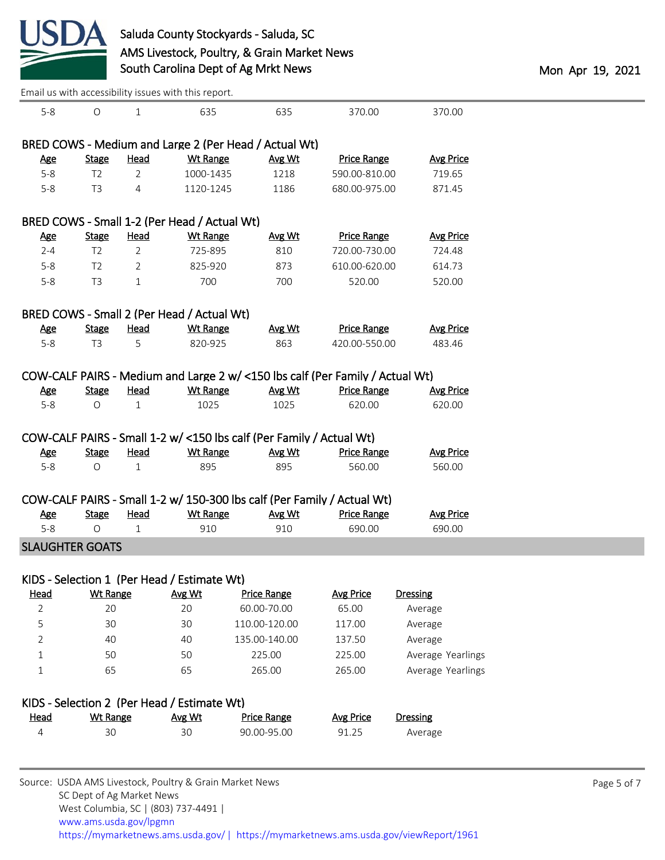

| Email us with accessibility issues with this report.  |                 |                |                                            |                                                                               |                    |                   |  |  |  |
|-------------------------------------------------------|-----------------|----------------|--------------------------------------------|-------------------------------------------------------------------------------|--------------------|-------------------|--|--|--|
| $5 - 8$                                               | $\circ$         | $\mathbf{1}$   | 635                                        | 635                                                                           | 370.00             | 370.00            |  |  |  |
| BRED COWS - Medium and Large 2 (Per Head / Actual Wt) |                 |                |                                            |                                                                               |                    |                   |  |  |  |
| <b>Age</b>                                            | <b>Stage</b>    | <b>Head</b>    | <b>Wt Range</b>                            | Avg Wt                                                                        | <b>Price Range</b> | <b>Avg Price</b>  |  |  |  |
| $5-8$                                                 | T <sub>2</sub>  | $\overline{2}$ | 1000-1435                                  | 1218                                                                          | 590.00-810.00      | 719.65            |  |  |  |
| $5 - 8$                                               | T <sub>3</sub>  | 4              | 1120-1245                                  | 1186                                                                          | 680.00-975.00      | 871.45            |  |  |  |
| BRED COWS - Small 1-2 (Per Head / Actual Wt)          |                 |                |                                            |                                                                               |                    |                   |  |  |  |
| <b>Age</b>                                            | <b>Stage</b>    | <b>Head</b>    | <b>Wt Range</b>                            | Avg Wt                                                                        | <b>Price Range</b> | <b>Avg Price</b>  |  |  |  |
| $2 - 4$                                               | T <sub>2</sub>  | $\overline{2}$ | 725-895                                    | 810                                                                           | 720.00-730.00      | 724.48            |  |  |  |
| $5 - 8$                                               | T <sub>2</sub>  | $\overline{2}$ | 825-920                                    | 873                                                                           | 610.00-620.00      | 614.73            |  |  |  |
| $5 - 8$                                               | T <sub>3</sub>  | 1              | 700                                        | 700                                                                           | 520.00             | 520.00            |  |  |  |
|                                                       |                 |                | BRED COWS - Small 2 (Per Head / Actual Wt) |                                                                               |                    |                   |  |  |  |
| <b>Age</b>                                            | <b>Stage</b>    | <b>Head</b>    | <b>Wt Range</b>                            | Avg Wt                                                                        | <b>Price Range</b> | <b>Avg Price</b>  |  |  |  |
| $5 - 8$                                               | T <sub>3</sub>  | 5              | 820-925                                    | 863                                                                           | 420.00-550.00      | 483.46            |  |  |  |
|                                                       |                 |                |                                            | COW-CALF PAIRS - Medium and Large 2 w/ <150 lbs calf (Per Family / Actual Wt) |                    |                   |  |  |  |
| <b>Age</b>                                            | <b>Stage</b>    | <b>Head</b>    | <b>Wt Range</b>                            | Avg Wt                                                                        | <b>Price Range</b> | <b>Avg Price</b>  |  |  |  |
| $5-8$                                                 | $\circ$         | $\mathbf{1}$   | 1025                                       | 1025                                                                          | 620.00             | 620.00            |  |  |  |
|                                                       |                 |                |                                            | COW-CALF PAIRS - Small 1-2 w/ <150 lbs calf (Per Family / Actual Wt)          |                    |                   |  |  |  |
| <b>Age</b>                                            | <b>Stage</b>    | <b>Head</b>    | <b>Wt Range</b>                            | Avg Wt                                                                        | <b>Price Range</b> | <b>Avg Price</b>  |  |  |  |
| $5 - 8$                                               | $\circ$         | 1              | 895                                        | 895                                                                           | 560.00             | 560.00            |  |  |  |
|                                                       |                 |                |                                            | COW-CALF PAIRS - Small 1-2 w/ 150-300 lbs calf (Per Family / Actual Wt)       |                    |                   |  |  |  |
| <u>Age</u>                                            | <b>Stage</b>    | <b>Head</b>    | <b>Wt Range</b>                            | Avg Wt                                                                        | <b>Price Range</b> | <b>Avg Price</b>  |  |  |  |
| $5 - 8$                                               | $\circ$         | 1              | 910                                        | 910                                                                           | 690.00             | 690.00            |  |  |  |
| <b>SLAUGHTER GOATS</b>                                |                 |                |                                            |                                                                               |                    |                   |  |  |  |
| KIDS - Selection 1 (Per Head / Estimate Wt)           |                 |                |                                            |                                                                               |                    |                   |  |  |  |
| <b>Head</b>                                           | <b>Wt Range</b> |                | Avg Wt                                     | <b>Price Range</b>                                                            | <b>Avg Price</b>   | <b>Dressing</b>   |  |  |  |
| $\overline{2}$                                        | 20              |                | 20                                         | 60.00-70.00                                                                   | 65.00              | Average           |  |  |  |
| 5                                                     | 30              |                | 30                                         | 110.00-120.00                                                                 | 117.00             | Average           |  |  |  |
| 2                                                     | 40              |                | 40                                         | 135.00-140.00                                                                 | 137.50             | Average           |  |  |  |
| $\mathbf{1}$                                          | 50              |                | 50                                         | 225.00                                                                        | 225.00             | Average Yearlings |  |  |  |
| 1                                                     | 65              |                | 65                                         | 265.00                                                                        | 265.00             | Average Yearlings |  |  |  |
| KIDS - Selection 2 (Per Head / Estimate Wt)           |                 |                |                                            |                                                                               |                    |                   |  |  |  |
| <b>Head</b>                                           | <b>Wt Range</b> |                | Avg Wt                                     | <b>Price Range</b>                                                            | <b>Avg Price</b>   | Dressing          |  |  |  |
| $\overline{4}$                                        | 30              |                | 30                                         | 90.00-95.00                                                                   | 91.25              | Average           |  |  |  |
|                                                       |                 |                |                                            |                                                                               |                    |                   |  |  |  |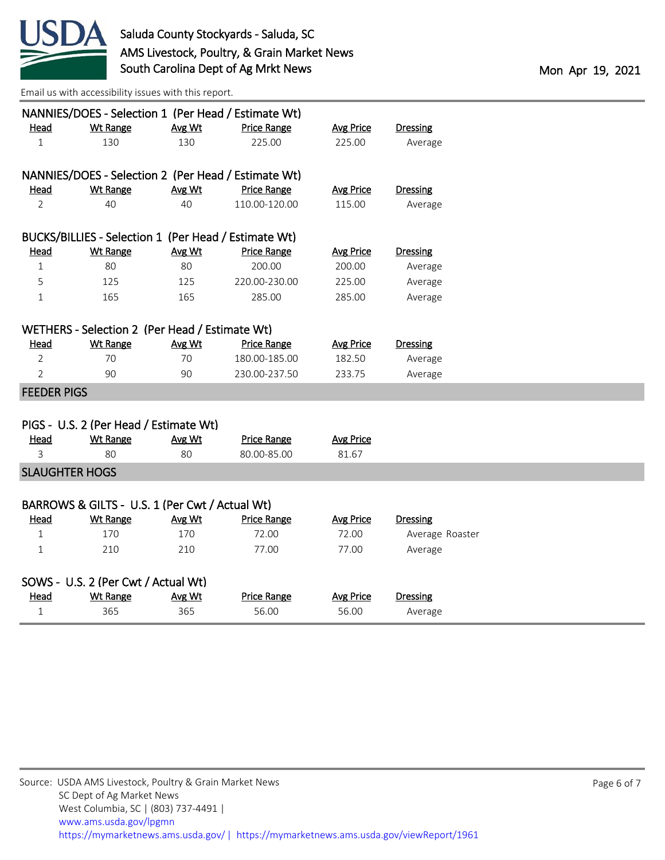

|                                     |                                                      |        | NANNIES/DOES - Selection 1 (Per Head / Estimate Wt) |                  |                 |  |  |
|-------------------------------------|------------------------------------------------------|--------|-----------------------------------------------------|------------------|-----------------|--|--|
| Head                                | <b>Wt Range</b>                                      | Avg Wt | <b>Price Range</b>                                  | <b>Avg Price</b> | <b>Dressing</b> |  |  |
| $\mathbf{1}$                        | 130                                                  | 130    | 225.00                                              | 225.00           | Average         |  |  |
|                                     |                                                      |        | NANNIES/DOES - Selection 2 (Per Head / Estimate Wt) |                  |                 |  |  |
| <u>Head</u>                         | <b>Wt Range</b>                                      | Avg Wt | <b>Price Range</b>                                  | <b>Avg Price</b> | <b>Dressing</b> |  |  |
| $\overline{2}$                      | 40                                                   | 40     | 110.00-120.00                                       | 115.00           | Average         |  |  |
|                                     |                                                      |        |                                                     |                  |                 |  |  |
|                                     | BUCKS/BILLIES - Selection 1 (Per Head / Estimate Wt) |        |                                                     |                  |                 |  |  |
| Head                                | <b>Wt Range</b>                                      | Avg Wt | <b>Price Range</b>                                  | <b>Avg Price</b> | <b>Dressing</b> |  |  |
| $\mathbf{1}$                        | 80                                                   | 80     | 200.00                                              | 200.00           | Average         |  |  |
| 5                                   | 125                                                  | 125    | 220.00-230.00                                       | 225.00           | Average         |  |  |
| $\mathbf{1}$                        | 165                                                  | 165    | 285.00                                              | 285.00           | Average         |  |  |
|                                     |                                                      |        |                                                     |                  |                 |  |  |
|                                     | WETHERS - Selection 2 (Per Head / Estimate Wt)       |        |                                                     |                  |                 |  |  |
| <u>Head</u>                         | <b>Wt Range</b>                                      | Avg Wt | <b>Price Range</b>                                  | <b>Avg Price</b> | <b>Dressing</b> |  |  |
| $\overline{2}$                      | 70                                                   | 70     | 180.00-185.00                                       | 182.50           | Average         |  |  |
| $\overline{2}$                      | 90                                                   | 90     | 230.00-237.50                                       | 233.75           | Average         |  |  |
| <b>FEEDER PIGS</b>                  |                                                      |        |                                                     |                  |                 |  |  |
|                                     |                                                      |        |                                                     |                  |                 |  |  |
|                                     | PIGS - U.S. 2 (Per Head / Estimate Wt)               |        |                                                     |                  |                 |  |  |
| Head                                | <b>Wt Range</b>                                      | Avg Wt | <b>Price Range</b>                                  | <b>Avg Price</b> |                 |  |  |
| 3                                   | 80                                                   | 80     | 80.00-85.00                                         | 81.67            |                 |  |  |
| <b>SLAUGHTER HOGS</b>               |                                                      |        |                                                     |                  |                 |  |  |
|                                     |                                                      |        |                                                     |                  |                 |  |  |
|                                     | BARROWS & GILTS - U.S. 1 (Per Cwt / Actual Wt)       |        |                                                     |                  |                 |  |  |
| Head                                | <b>Wt Range</b>                                      | Avg Wt | <b>Price Range</b>                                  | <b>Avg Price</b> | <b>Dressing</b> |  |  |
| $\mathbf{1}$                        | 170                                                  | 170    | 72.00                                               | 72.00            | Average Roaster |  |  |
| $\mathbf{1}$                        | 210                                                  | 210    | 77.00                                               | 77.00            | Average         |  |  |
| SOWS - U.S. 2 (Per Cwt / Actual Wt) |                                                      |        |                                                     |                  |                 |  |  |
| <b>Head</b>                         | <b>Wt Range</b>                                      | Avg Wt | <b>Price Range</b>                                  | <b>Avg Price</b> | <b>Dressing</b> |  |  |
| 1                                   | 365                                                  | 365    | 56.00                                               | 56.00            | Average         |  |  |
|                                     |                                                      |        |                                                     |                  |                 |  |  |